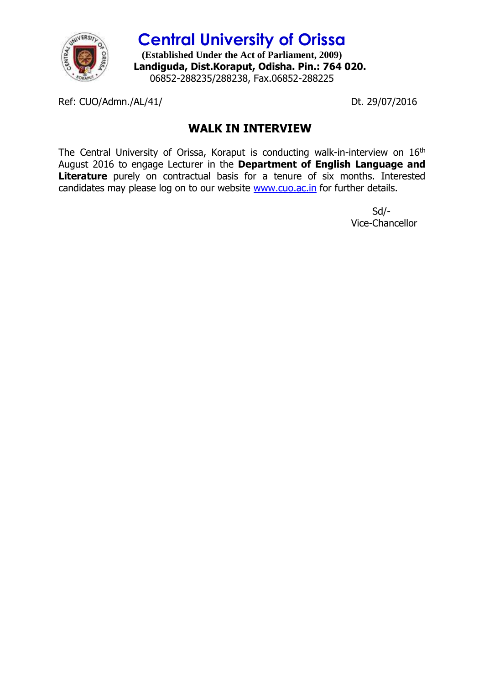

**Central University of Orissa (Established Under the Act of Parliament, 2009) Landiguda, Dist.Koraput, Odisha. Pin.: 764 020.** 06852-288235/288238, Fax.06852-288225

Ref: CUO/Admn./AL/41/ Dt. 29/07/2016

## **WALK IN INTERVIEW**

The Central University of Orissa, Koraput is conducting walk-in-interview on 16<sup>th</sup> August 2016 to engage Lecturer in the **Department of English Language and Literature** purely on contractual basis for a tenure of six months. Interested candidates may please log on to our website [www.cuo.ac.in](http://www.cuo.ac.in/) for further details.

> Sd/- Vice-Chancellor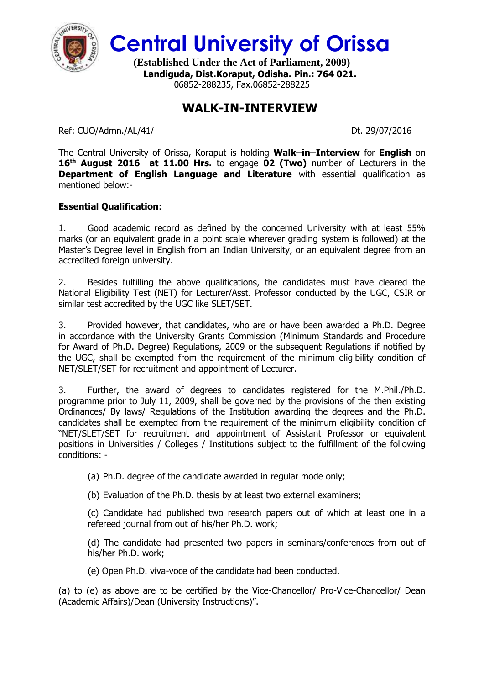

**Central University of Orissa**

**(Established Under the Act of Parliament, 2009) Landiguda, Dist.Koraput, Odisha. Pin.: 764 021.** 06852-288235, Fax.06852-288225

## **WALK-IN-INTERVIEW**

Ref: CUO/Admn./AL/41/ Dt. 29/07/2016

The Central University of Orissa, Koraput is holding **Walk–in–Interview** for **English** on **16th August 2016 at 11.00 Hrs.** to engage **02 (Two)** number of Lecturers in the **Department of English Language and Literature** with essential qualification as mentioned below:-

## **Essential Qualification**:

1. Good academic record as defined by the concerned University with at least 55% marks (or an equivalent grade in a point scale wherever grading system is followed) at the Master's Degree level in English from an Indian University, or an equivalent degree from an accredited foreign university.

2. Besides fulfilling the above qualifications, the candidates must have cleared the National Eligibility Test (NET) for Lecturer/Asst. Professor conducted by the UGC, CSIR or similar test accredited by the UGC like SLET/SET.

3. Provided however, that candidates, who are or have been awarded a Ph.D. Degree in accordance with the University Grants Commission (Minimum Standards and Procedure for Award of Ph.D. Degree) Regulations, 2009 or the subsequent Regulations if notified by the UGC, shall be exempted from the requirement of the minimum eligibility condition of NET/SLET/SET for recruitment and appointment of Lecturer.

3. Further, the award of degrees to candidates registered for the M.Phil./Ph.D. programme prior to July 11, 2009, shall be governed by the provisions of the then existing Ordinances/ By laws/ Regulations of the Institution awarding the degrees and the Ph.D. candidates shall be exempted from the requirement of the minimum eligibility condition of "NET/SLET/SET for recruitment and appointment of Assistant Professor or equivalent positions in Universities / Colleges / Institutions subject to the fulfillment of the following conditions: -

(a) Ph.D. degree of the candidate awarded in regular mode only;

(b) Evaluation of the Ph.D. thesis by at least two external examiners;

(c) Candidate had published two research papers out of which at least one in a refereed journal from out of his/her Ph.D. work;

(d) The candidate had presented two papers in seminars/conferences from out of his/her Ph.D. work;

(e) Open Ph.D. viva-voce of the candidate had been conducted.

(a) to (e) as above are to be certified by the Vice-Chancellor/ Pro-Vice-Chancellor/ Dean (Academic Affairs)/Dean (University Instructions)".